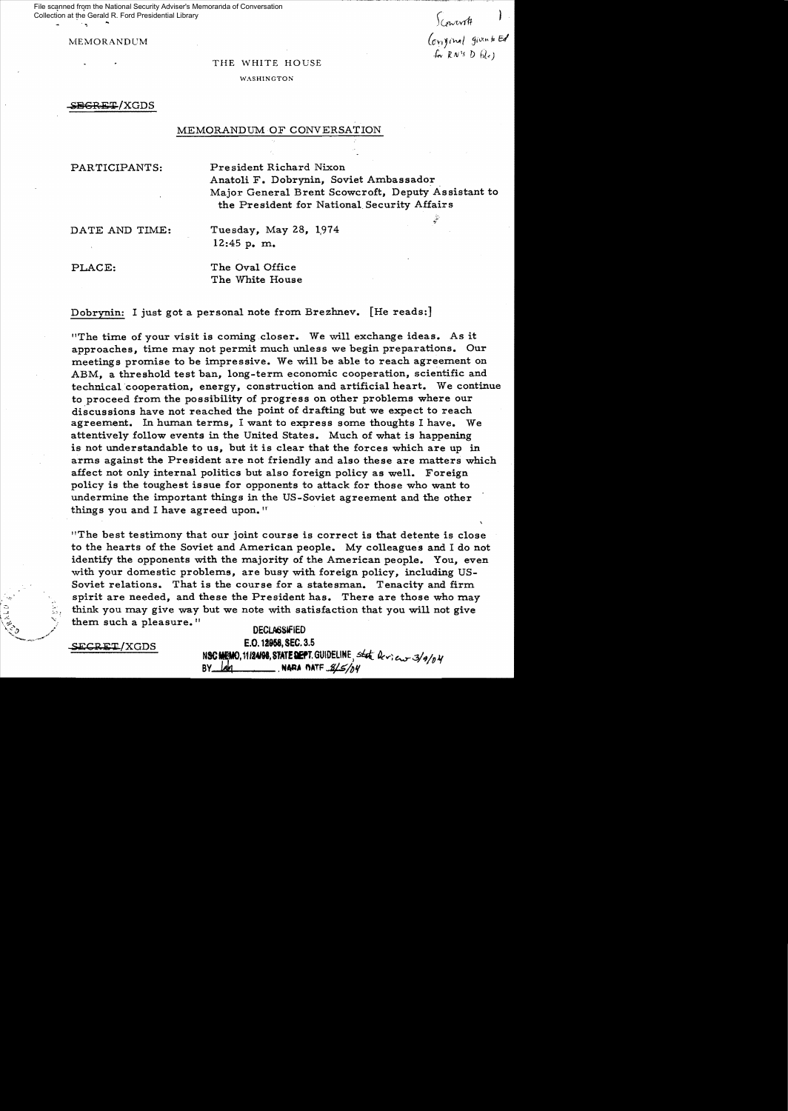File scanned from the National Security Adviser's Memoranda of Conversation Collection at the Gerald R. Ford Presidential Library

*)(ewvvt#* 

MEMORANDUM (on given by Ed f.v R. *N* 1.1 D *hi",)* 

## THE WHITE HOUSE

WASHINGTON

SEGRET/XGDS

## MEMORANDUM OF CONVERSATION

PARTICIPANTS: President Richard Nixon Anatoli F. Dobrynin, Soviet Ambassador, Major General Brent Scowcroft, Deputy Assistant to the President for National, Security Affairs

DATE AND TIME: Tuesday, May 28, 1974 12:45 p. m.

PLACE: The Oval Office The White House

Dobrynin: I just got a personal note from Brezhnev. [He reads:]

"The time of your visit is coming closer. We will exchange ideas. As it approaches, time may not permit much unless we begin preparations. Our meetings promise to be impressive. We will be able to reach agreement on ABM, a threshold test ban, long-term economic cooperation, scientific and technical 'cooperation, energy, construction and artificial heart. We continue to proceed from the possibility of progress on other problems where our discussions have not reached the point of drafting but we expect to reach agreement. In human terms, I want to express some thoughts I have. We attentively follow events in the United States. Much of what is happening is not understandable to us, but it is clear that the forces which are up in arms against the President are not friendly and also these are matters which affect not only internal politics but also foreign policy as well. Foreign policy is the toughest issue for opponents to attack for those who want to undermine the important things in the US-Soviet agreement and the other things you and I have agreed upon."

liThe best testimony that our joint course is correct is that detente is close to the hearts of the Soviet and American people. My colleagues and I do not identify the opponents with the majority of the American people. You, even with your domestic problems, are busy with foreign policy, including US-Soviet relations. That is the course for a statesman. Tenacity and firm spirit are needed, and these the President has. There are those who may :~~.~. think **you may give way but we note with satisfaction that you will not give** them such a pleasure. "

**DECLASSIFIED** E.O. 12958, SEC. 3.5 NSC MEMO, 11/24/98, STATE DEPT. GUIDELINE, state  $2c$ , en 3/9/04 BY lah NARA MATE 8/5/04

SECRET/XGDS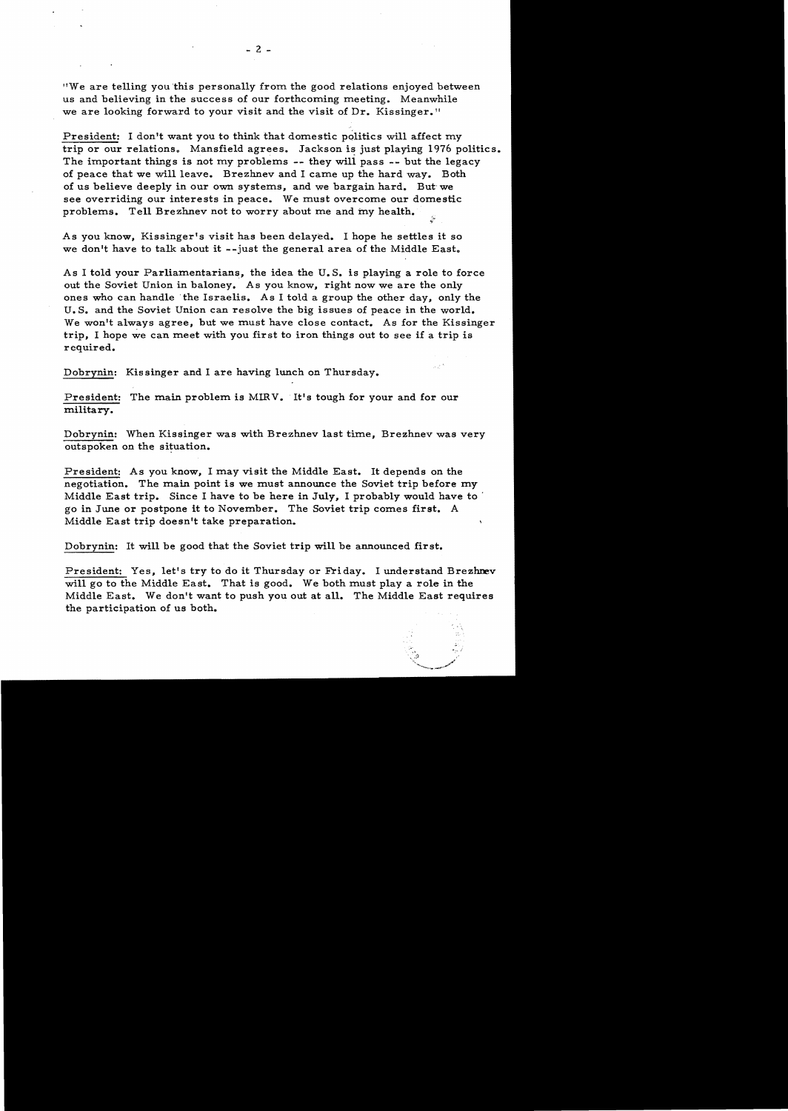"We are telling you 'this personally from the good relations enjoyed between us and believing in the success of our forthcoming meeting. Meanwhile we are looking forward to your visit and the visit of Dr. Kissinger."

President: I don't want you to think that domestic politics will affect my trip or our relations. Mansfield agrees. Jackson is just playing 1976 politics. The important things is not my problems -- they will pass -- but the legacy of peace that we will leave. Brezhnev and I carne up the hard way. Both of us believe deeply in our own systems, and we bargain hard. But· we see overriding our interests in peace. We must overcome our domestic problems. Tell Brezhnev not to worry about me and my health.

~~

As you know, Kissinger's visit has been delayed. I hope he settles it so we don't have to talk about it --just the general area of the Middle East.

As I told your Parliamentarians, the idea the U. S. is playing a role to force out the Soviet Union in baloney. As you know, right now we are the only ones who can handle 'the Israelis. As I told a group the other day, only the U. S. and the Soviet Union can resolve the big issues of peace in the world. We won't always agree, but we must have close contact. As for the Kissinger trip, I hope we can meet with you first to iron things out to see if a trip is required.

Dobrynin: Kissinger and I are having lunch on Thursday.

President: The main problem is MIRV. It's tough for your and for our military.

Dobrynin: When Kissinger was with Brezhnev last time, Brezhnev was very outspoken on the situation.

President: As you know, I may visit the Middle East. It depends on the negotiation. The main point is we must announce the Soviet trip before my Middle East trip. Since I have to be here in July, I probably would have to . go in June or postpone it to November. The Soviet trip comes first. A Middle East trip doesn't take preparation.

Dobrynin: It will be good that the Soviet trip will be announced first.

President: Yes, let's try to do it Thursday or Friday. I understand Brezhnev will go to the Middle East. That is good. We both must playa role in the Middle East. We don't want to push you out at all. The Middle East requires the participation of us both.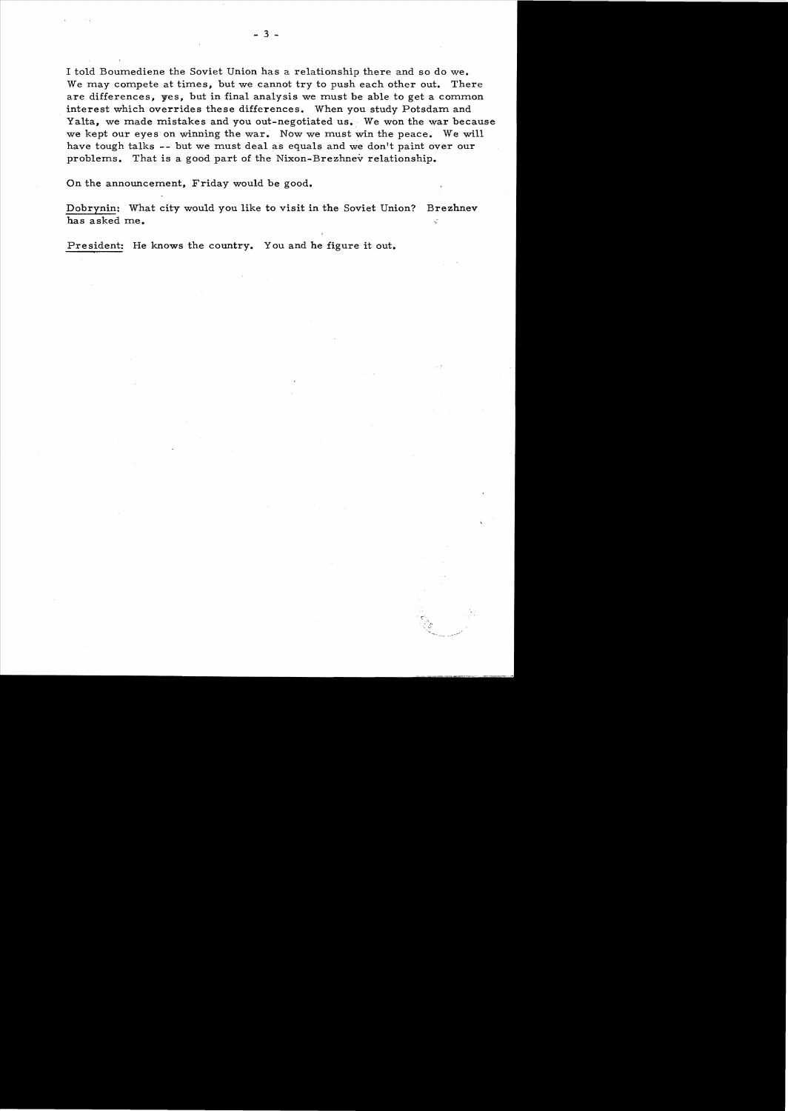I told Boumediene the Soviet Union has a relationship there and so do we. We may compete at times, but we cannot try to push each other out. There are differences, yes, but in final analysis we must be able to get a common interest which overrides these differences. When you study Potsdam and Yalta, we made mistakes and you out-negotiated us. We won the war because we kept our eyes on winning the war. Now we must win the peace. We will have tough talks **--** but we must deal as equals and we don't paint over our problems. That is a good part of the Nixon-Brezhnev relationship.

On the announcement, Friday would be good.

Dobrynin: What city would you like to visit in the Soviet Union? Brezhnev has asked me. k)

.....

President: He knows the country. You and he figure it out.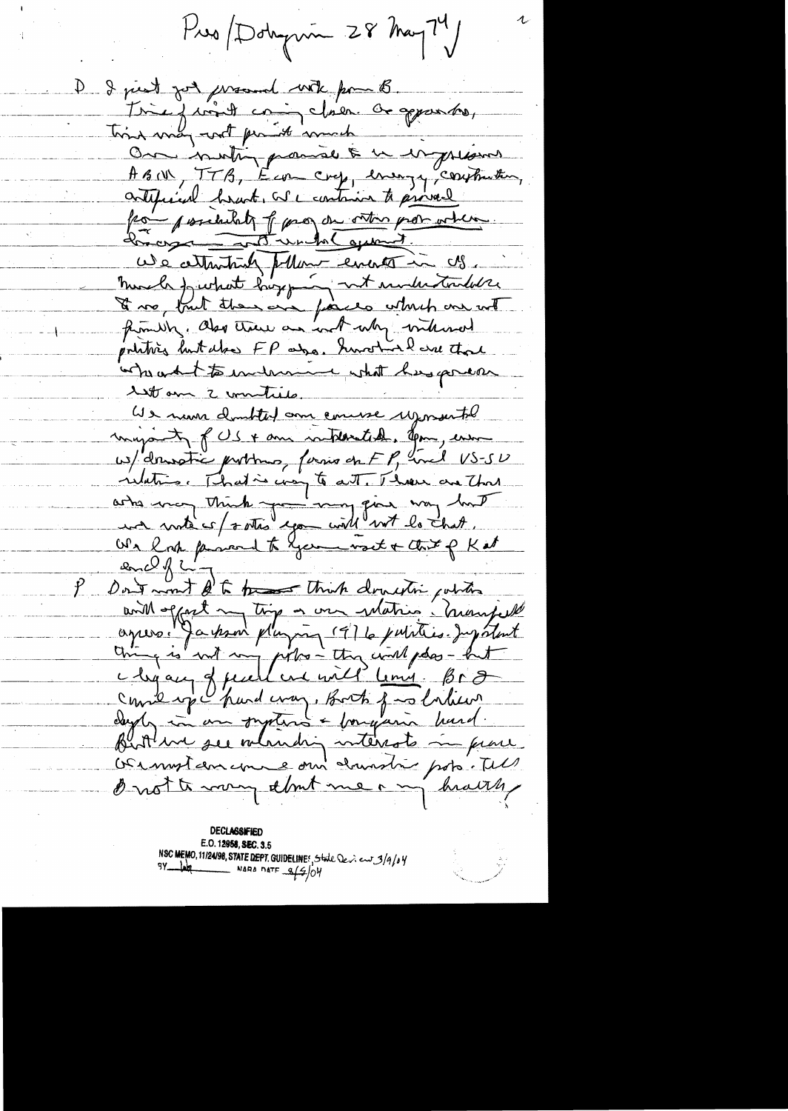Pres Dobymin 28 May 79

I just jot promot with pour B. Inie juint coin claire de apparter, Thing way with promote work On inutin paraise & u en presson ABOR, TTB, Econ cry, energy, contraction, contificial heart, we contain to proved from possessibility of para du ontre problem how in the wind agreed. We attenting pollar encor in cls. Murch furthet hopping not understanded the De vo fruit thousand finished which are not pointing but also FP ago. Survey lasse that when what to indicannon what here process 11 am 2 minuties. We num doubted am comme reposente myanty of US + am interated, you, ensure w/ dranstic portons, forms on FP, and US-SU relation That is compte att. Those are that artes mon think you way fine way but We happened to Germanset + that of Kat  $20 - 7 - 7$ Don't won't ft to the think donesting others and offert my time or we relating heavy the aprox Japon pluging 1976 juliar Jugatent Come ipe pard craz, Both food liker dayly in an systems + forgand hard. Butthe see mainding interests in prove Duot to mong that me any health

**DECLASSIFIED** E.O. 12958, SEC. 3.5 NSC MEMO, 11/24/98, STATE DEPT. GUIDELINES, State Deview 3/9/04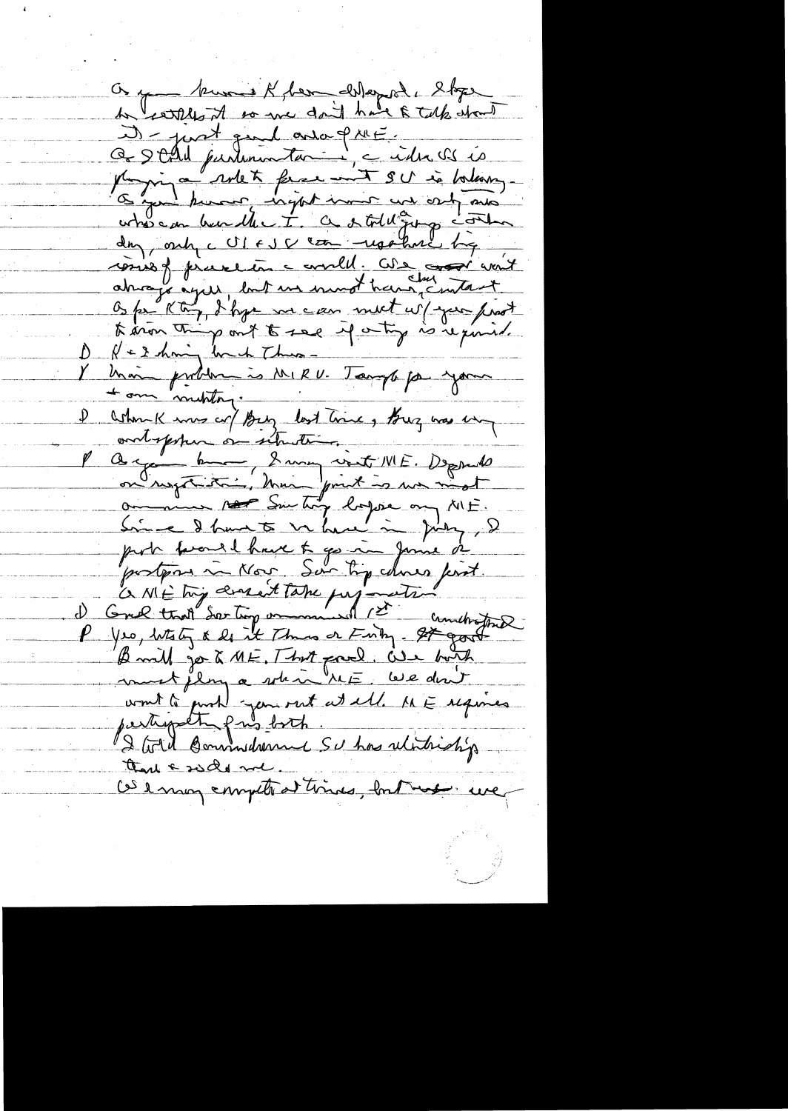On y - kuns & ben chlopol, l'oper to earther it so we don't have a talk whom D-just quil avaignée Ce Stad purtonnentant : cider es és Magin a unet francount SU is balance whose on bundle I. a stoll going contro day, only c UI FJ & com -repolare by cours of presentance availl. Che sort wait Nethany lack Thus mois problem is MIRU. Tough par your ashounk mus cr/Buy last time, Buz was un ontoppen on situation. P Q = port bound of the Property of the Deposite of Contact of the South of the Contact of the Contact of the Contact of the Contact of the Contact of the Contact of the Contact of the Contact of the Contact of the Contact B will go to ME, That prod. We hoth au de flores a sole à le doit partipolte pris both 2 Gold Bonnochemic Schoolitriship thank side me. Ce enougement de times, but me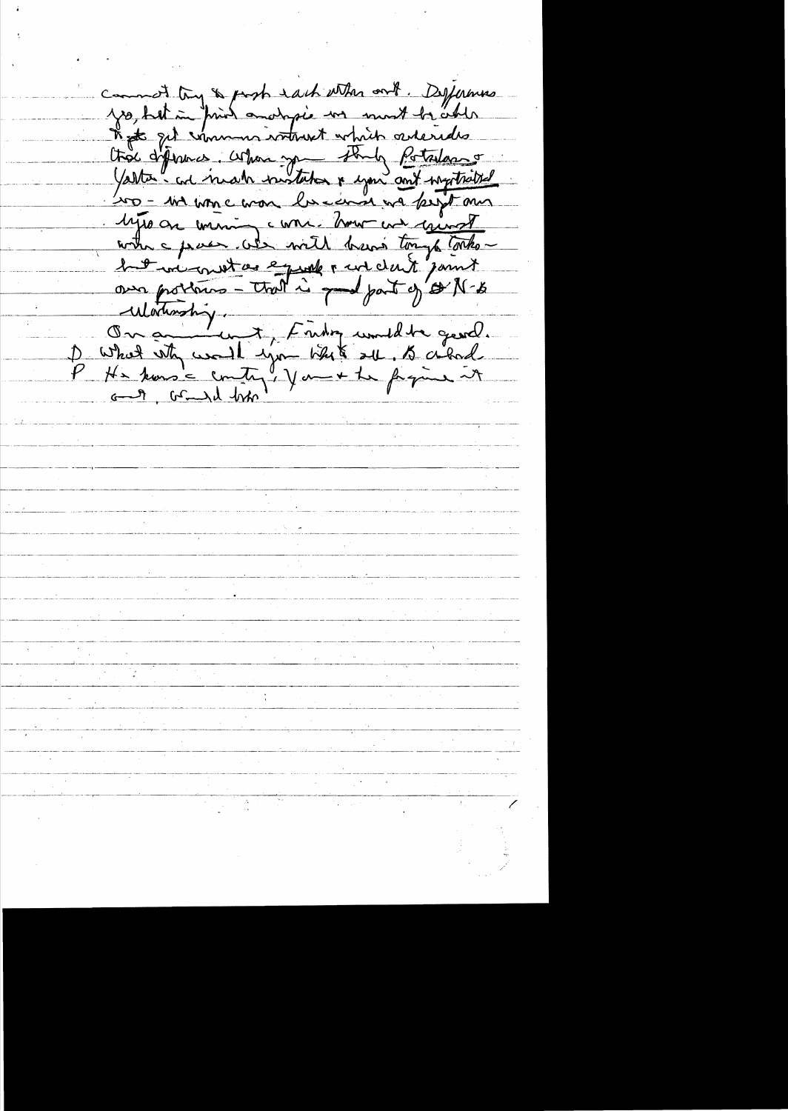common try & pash each with our . Defermes when they a probably who and what our sunt to other<br>That get removes where the potations of the content<br>That get removes when the potations of<br>The diffeomer was the second we haptened<br>into a wine was lowed we have the met<br> Watership. Ou an unit, Finding under grand.<br>De What why would type blub all. to abod.<br>P He koms = country! you + the fragine it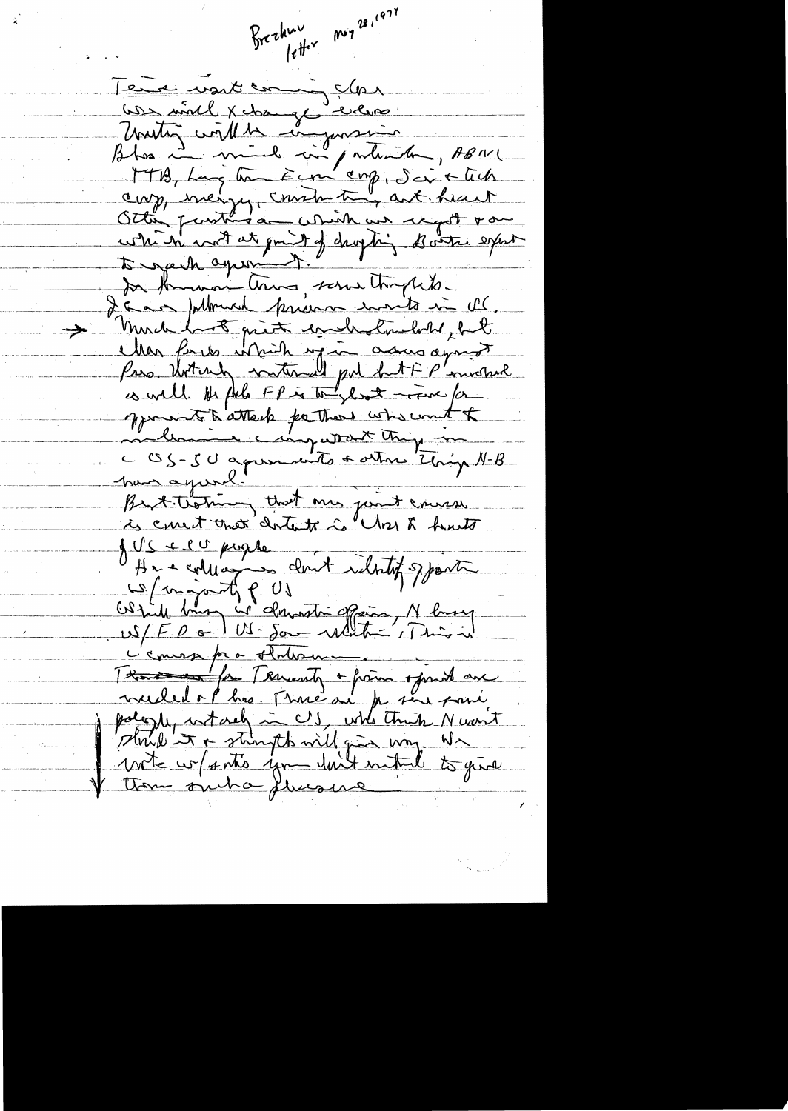$1e^{\frac{1}{2}x}$  meg  $2e^{i47}$ Brezhnu le unit comme dans <u>Les milles permes externes</u> Uniting with the component , ABNIC<br>Blog Long Com Eure emp, Sei & Ch cop, inergy, contra try art hait which with it gon't of dropping - Boats export to gach agreement In formon there serve thoughts. I am Johnson prison work in the much book quite concludement but Mar form which up in assurancement Pro, Unting without put but FP'involved es well. It plus FP is to look - For for your to attach parties who won't to melloment chapateur thing in L OS-50 april with a other thing N-B Brit themany that min junt course à consit unex centente à "May 8 of ve college a lostof sport cleat Obtide him is demandré offering, M husey Cemes pa o Anton Thanks on 1 ft Terrenty + from sport an mudel op his. Musical par sine pari shrip it + stringth will give my. W write w/ satis you with mitual to give them such a flucause